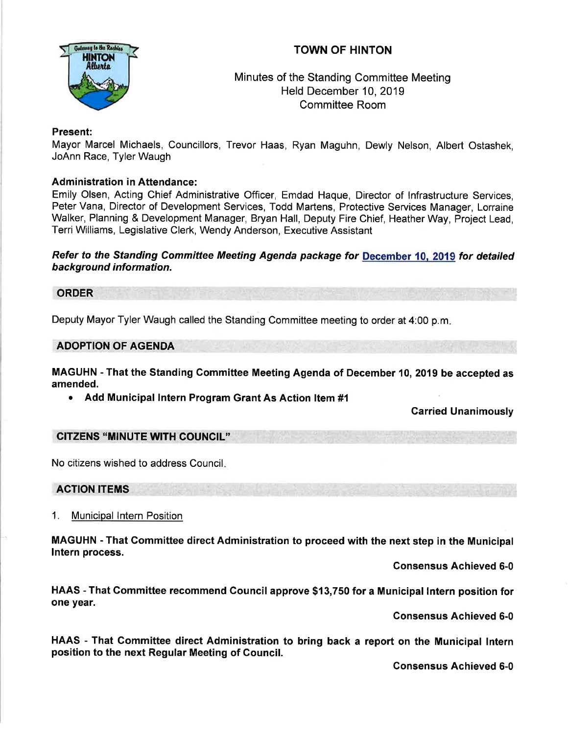# TOWN OF HINTON



## Minutes of the Standing Committee Meeting Held December 10,2019 Committee Room

## Present:

Mayor Marcel Michaels, Councillors, Trevor Haas, Ryan Maguhn, Dewly Nelson, Albert Ostashek, JoAnn Race, Tyler Waugh

## Administration in Attendance:

Emily Olsen, Acting Chief Administrative Officer, Emdad Haque, Director of lnfrastructure Services, Peter Vana, Director of Development Services, Todd Martens, Protective Services Manager, Lorraine Walker, Planning & Development Manager, Bryan Hall, Deputy Fire Chief, Heather Way, Project Lead, Terri Williams, Legislative Clerk, Wendy Anderson, Executive Assistant

### Refer to the Standing Committee Meeting Agenda package for December 10, 2019 for detailed background information.

#### ORDER

Deputy Mayor Tyler Waugh called the Standing Committee meeting to order at 4:00 p.m

#### ADOPTION OF AGENDA

MAGUHN - That the Standing Gommittee Meeting Agenda of December 10, 2019 be accepted as amended.

• Add Municipal Intern Program Grant As Action Item #1

Carried Unanimously

#### CITZENS "MINUTE WITH COUNCIL''

No citizens wished to address Council

## ACTION ITEMS

#### 1. Municipal Intern Position

MAGUHN - That Gommittee direct Administration to proceed with the next step in the Municipal lntern process.

Consensus Achieved 6-0

HAAS - That Gommittee recommend Gouncil approve \${3,750 for a Municipal lntern position for one year.

Consensus Achieved 6-0

HAAS - That Gommittee direct Administration to bring back a report on the Municipal lntern position to the next Regular Meeting of Gouncil.

Consensus Achieved 6-0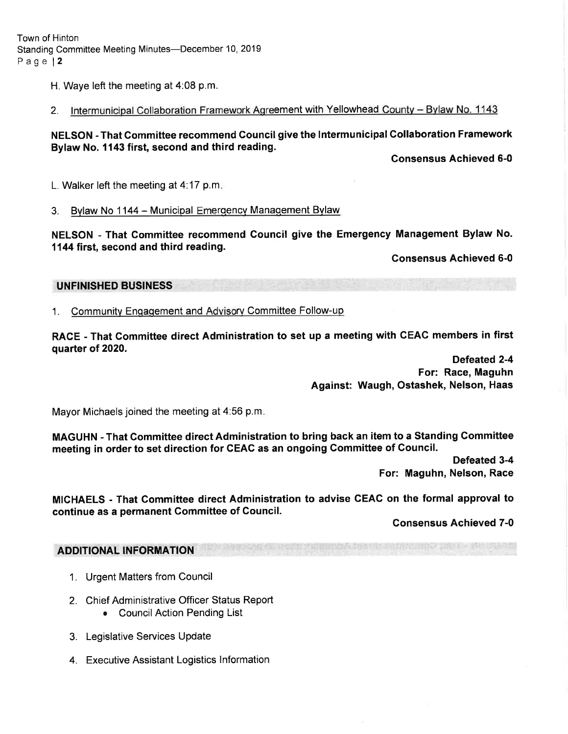Town of Hinton Standing Committee Meeting Minutes-December 10, 2019 Page l2

H. Waye left the meeting at 4:08 p.m.

2. Intermunicipal Collaboration Framework Agreement with Yellowhead County - Bylaw No. 1143

NELSON - That Gommittee recommend Council give the lntermunicipal Gollaboration Framework Bylaw No. 1143 first, second and third reading.

Consensus Achieved 6-0

L. Walker left the meeting at 4.17 p.m

3. Bylaw No 1144 - Municipal Emergency Management Bylaw

NELSON - That Gommittee recommend Council give the Emergency Management Bylaw No. 1144 first, second and third reading.

Gonsensus Achieved 6-0

### UNFINISHED BUSINESS

1. Community Engagement and Advisory Committee Follow-up

RACE - That Gommittee direct Administration to set up a meeting with GEAG members in first quarter of 2020.

> Defeated 2-4 For: Race, Maguhn Against: Waugh, Ostashek, Nelson, Haas

Mayor Michaels joined the meeting at 4:56 p.m

MAGUHN - That Committee direct Administration to bring back an item to a Standing Committee meeting in order to set direction for CEAG as an ongoing Committee of Gouncil.

> Defeated 3-4 For: Maguhn, Nelson, Race

MICHAELS - That Gommiftee direct Administration to advise CEAC on the formal approval to continue as a permanent Gommittee of Gouncil.

Gonsensus Achieved 7-0

## **ADDITIONAL INFORMATION**

- 1. Urgent Matters from Council
- 2. Chief Administrative Officer Status Report
	- . CouncilAction Pending List
- 3. Legislative Services Update
- 4. Executive Assistant Logistics lnformation